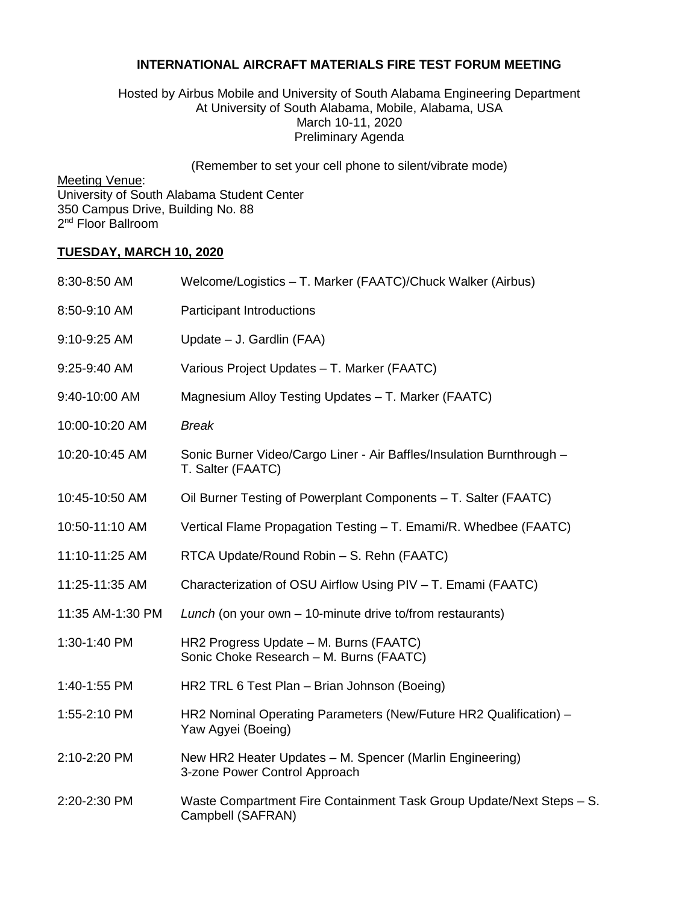## **INTERNATIONAL AIRCRAFT MATERIALS FIRE TEST FORUM MEETING**

## Hosted by Airbus Mobile and University of South Alabama Engineering Department At University of South Alabama, Mobile, Alabama, USA March 10-11, 2020 Preliminary Agenda

(Remember to set your cell phone to silent/vibrate mode)

Meeting Venue:

University of South Alabama Student Center 350 Campus Drive, Building No. 88 2<sup>nd</sup> Floor Ballroom

## **TUESDAY, MARCH 10, 2020**

| 8:30-8:50 AM     | Welcome/Logistics - T. Marker (FAATC)/Chuck Walker (Airbus)                                |
|------------------|--------------------------------------------------------------------------------------------|
| 8:50-9:10 AM     | <b>Participant Introductions</b>                                                           |
| 9:10-9:25 AM     | Update - J. Gardlin (FAA)                                                                  |
| 9:25-9:40 AM     | Various Project Updates - T. Marker (FAATC)                                                |
| 9:40-10:00 AM    | Magnesium Alloy Testing Updates - T. Marker (FAATC)                                        |
| 10:00-10:20 AM   | <b>Break</b>                                                                               |
| 10:20-10:45 AM   | Sonic Burner Video/Cargo Liner - Air Baffles/Insulation Burnthrough -<br>T. Salter (FAATC) |
| 10:45-10:50 AM   | Oil Burner Testing of Powerplant Components - T. Salter (FAATC)                            |
| 10:50-11:10 AM   | Vertical Flame Propagation Testing - T. Emami/R. Whedbee (FAATC)                           |
| 11:10-11:25 AM   | RTCA Update/Round Robin - S. Rehn (FAATC)                                                  |
| 11:25-11:35 AM   | Characterization of OSU Airflow Using PIV - T. Emami (FAATC)                               |
| 11:35 AM-1:30 PM | Lunch (on your own - 10-minute drive to/from restaurants)                                  |
| 1:30-1:40 PM     | HR2 Progress Update - M. Burns (FAATC)<br>Sonic Choke Research - M. Burns (FAATC)          |
| 1:40-1:55 PM     | HR2 TRL 6 Test Plan - Brian Johnson (Boeing)                                               |
| 1:55-2:10 PM     | HR2 Nominal Operating Parameters (New/Future HR2 Qualification) -<br>Yaw Agyei (Boeing)    |
| 2:10-2:20 PM     | New HR2 Heater Updates - M. Spencer (Marlin Engineering)<br>3-zone Power Control Approach  |
| 2:20-2:30 PM     | Waste Compartment Fire Containment Task Group Update/Next Steps - S.<br>Campbell (SAFRAN)  |